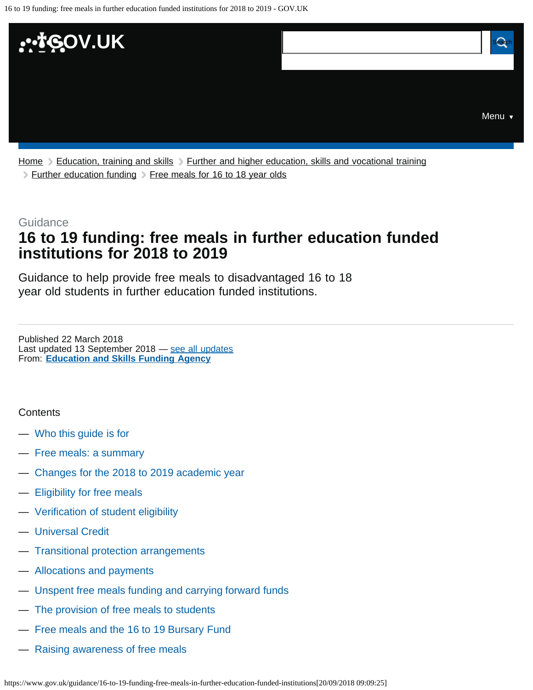<span id="page-0-0"></span>

[Home](https://www.gov.uk/) [Education, training and skills](https://www.gov.uk/education) [Further and higher education, skills and vocational training](https://www.gov.uk/education/further-and-higher-education-skills-and-vocational-training) [Further education funding](https://www.gov.uk/education/further-education-funding) > [Free meals for 16 to 18 year olds](https://www.gov.uk/education/free-meals-for-16-to-18-year-olds)

#### **Guidance**

# **16 to 19 funding: free meals in further education funded institutions for 2018 to 2019**

Guidance to help provide free meals to disadvantaged 16 to 18 year old students in further education funded institutions.

From: **[Education and Skills Funding Agency](https://www.gov.uk/government/organisations/education-and-skills-funding-agency)** Published 22 March 2018 Last updated 13 September 2018 - [see all updates](#page-11-0)

#### **Contents**

- [Who this guide is for](#page-1-0)
- [Free meals: a summary](#page-1-1)
- [Changes for the 2018 to 2019 academic year](#page-1-2)
- [Eligibility for free meals](#page-2-0)
- [Verification of student eligibility](#page-3-0)
- [Universal Credit](#page-4-0)
- [Transitional protection arrangements](#page-5-0)
- [Allocations and payments](#page-6-0)
- [Unspent free meals funding and carrying forward funds](#page-7-0)
- [The provision of free meals to students](#page-7-1)
- [Free meals and the 16 to 19 Bursary Fund](#page-9-0)
- [Raising awareness of free meals](#page-9-1)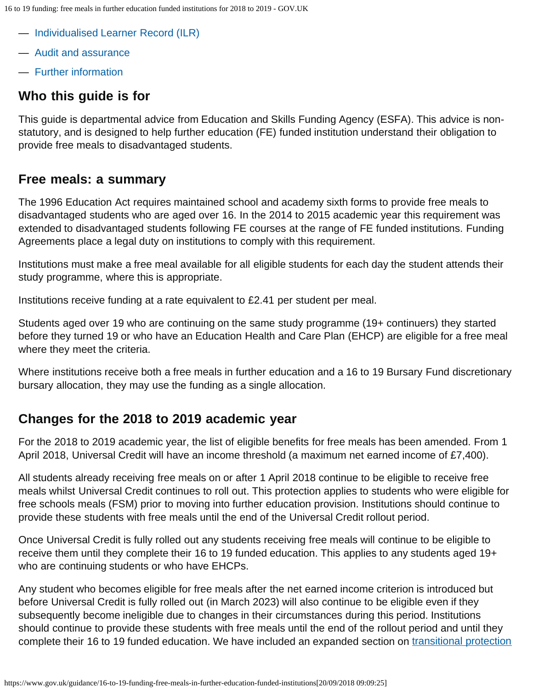- [Individualised Learner Record \(ILR\)](#page-9-2)
- [Audit and assurance](#page-10-0)
- [Further information](#page-10-1)

# <span id="page-1-0"></span>**Who this guide is for**

This guide is departmental advice from Education and Skills Funding Agency (ESFA). This advice is nonstatutory, and is designed to help further education (FE) funded institution understand their obligation to provide free meals to disadvantaged students.

### <span id="page-1-1"></span>**Free meals: a summary**

The 1996 Education Act requires maintained school and academy sixth forms to provide free meals to disadvantaged students who are aged over 16. In the 2014 to 2015 academic year this requirement was extended to disadvantaged students following FE courses at the range of FE funded institutions. Funding Agreements place a legal duty on institutions to comply with this requirement.

Institutions must make a free meal available for all eligible students for each day the student attends their study programme, where this is appropriate.

Institutions receive funding at a rate equivalent to £2.41 per student per meal.

Students aged over 19 who are continuing on the same study programme (19+ continuers) they started before they turned 19 or who have an Education Health and Care Plan (EHCP) are eligible for a free meal where they meet the criteria.

Where institutions receive both a free meals in further education and a 16 to 19 Bursary Fund discretionary bursary allocation, they may use the funding as a single allocation.

## <span id="page-1-2"></span>**Changes for the 2018 to 2019 academic year**

For the 2018 to 2019 academic year, the list of eligible benefits for free meals has been amended. From 1 April 2018, Universal Credit will have an income threshold (a maximum net earned income of £7,400).

All students already receiving free meals on or after 1 April 2018 continue to be eligible to receive free meals whilst Universal Credit continues to roll out. This protection applies to students who were eligible for free schools meals (FSM) prior to moving into further education provision. Institutions should continue to provide these students with free meals until the end of the Universal Credit rollout period.

Once Universal Credit is fully rolled out any students receiving free meals will continue to be eligible to receive them until they complete their 16 to 19 funded education. This applies to any students aged 19+ who are continuing students or who have EHCPs.

Any student who becomes eligible for free meals after the net earned income criterion is introduced but before Universal Credit is fully rolled out (in March 2023) will also continue to be eligible even if they subsequently become ineligible due to changes in their circumstances during this period. Institutions should continue to provide these students with free meals until the end of the rollout period and until they complete their 16 to 19 funded education. We have included an expanded section on [transitional protection](#page-5-0)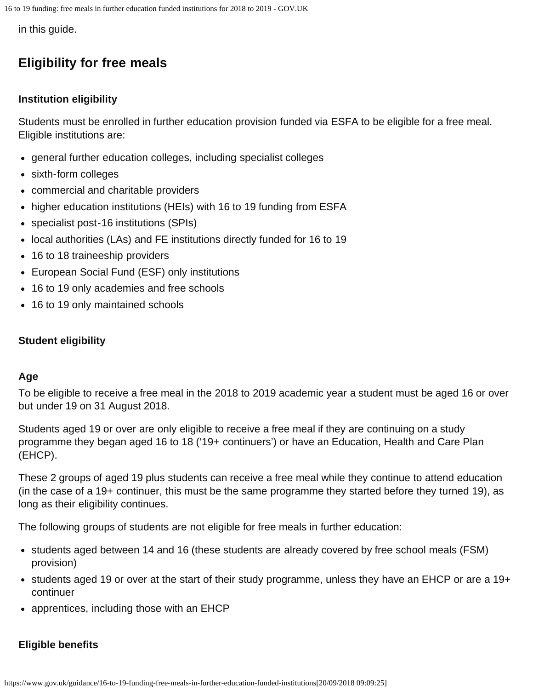in this guide.

# <span id="page-2-0"></span>**Eligibility for free meals**

### **Institution eligibility**

Students must be enrolled in further education provision funded via ESFA to be eligible for a free meal. Eligible institutions are:

- general further education colleges, including specialist colleges
- sixth-form colleges
- commercial and charitable providers
- higher education institutions (HEIs) with 16 to 19 funding from ESFA
- specialist post-16 institutions (SPIs)
- local authorities (LAs) and FE institutions directly funded for 16 to 19
- 16 to 18 traineeship providers
- European Social Fund (ESF) only institutions
- 16 to 19 only academies and free schools
- 16 to 19 only maintained schools

#### **Student eligibility**

#### **Age**

To be eligible to receive a free meal in the 2018 to 2019 academic year a student must be aged 16 or over but under 19 on 31 August 2018.

Students aged 19 or over are only eligible to receive a free meal if they are continuing on a study programme they began aged 16 to 18 ('19+ continuers') or have an Education, Health and Care Plan (EHCP).

These 2 groups of aged 19 plus students can receive a free meal while they continue to attend education (in the case of a 19+ continuer, this must be the same programme they started before they turned 19), as long as their eligibility continues.

The following groups of students are not eligible for free meals in further education:

- students aged between 14 and 16 (these students are already covered by free school meals (FSM) provision)
- students aged 19 or over at the start of their study programme, unless they have an EHCP or are a 19+ continuer
- apprentices, including those with an EHCP

### **Eligible benefits**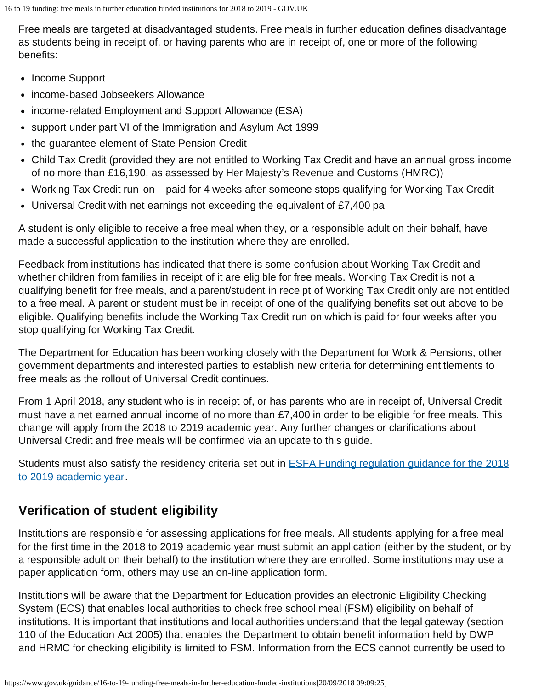Free meals are targeted at disadvantaged students. Free meals in further education defines disadvantage as students being in receipt of, or having parents who are in receipt of, one or more of the following benefits:

- Income Support
- income-based Jobseekers Allowance
- income-related Employment and Support Allowance (ESA)
- support under part VI of the Immigration and Asylum Act 1999
- the guarantee element of State Pension Credit
- Child Tax Credit (provided they are not entitled to Working Tax Credit and have an annual gross income of no more than £16,190, as assessed by Her Majesty's Revenue and Customs (HMRC))
- Working Tax Credit run-on paid for 4 weeks after someone stops qualifying for Working Tax Credit
- Universal Credit with net earnings not exceeding the equivalent of £7,400 pa

A student is only eligible to receive a free meal when they, or a responsible adult on their behalf, have made a successful application to the institution where they are enrolled.

Feedback from institutions has indicated that there is some confusion about Working Tax Credit and whether children from families in receipt of it are eligible for free meals. Working Tax Credit is not a qualifying benefit for free meals, and a parent/student in receipt of Working Tax Credit only are not entitled to a free meal. A parent or student must be in receipt of one of the qualifying benefits set out above to be eligible. Qualifying benefits include the Working Tax Credit run on which is paid for four weeks after you stop qualifying for Working Tax Credit.

The Department for Education has been working closely with the Department for Work & Pensions, other government departments and interested parties to establish new criteria for determining entitlements to free meals as the rollout of Universal Credit continues.

From 1 April 2018, any student who is in receipt of, or has parents who are in receipt of, Universal Credit must have a net earned annual income of no more than £7,400 in order to be eligible for free meals. This change will apply from the 2018 to 2019 academic year. Any further changes or clarifications about Universal Credit and free meals will be confirmed via an update to this guide.

Students must also satisfy the residency criteria set out in **ESFA Funding regulation guidance for the 2018** [to 2019 academic year](https://www.gov.uk/16-to-19-education-funding-guidance).

# <span id="page-3-0"></span>**Verification of student eligibility**

Institutions are responsible for assessing applications for free meals. All students applying for a free meal for the first time in the 2018 to 2019 academic year must submit an application (either by the student, or by a responsible adult on their behalf) to the institution where they are enrolled. Some institutions may use a paper application form, others may use an on-line application form.

Institutions will be aware that the Department for Education provides an electronic Eligibility Checking System (ECS) that enables local authorities to check free school meal (FSM) eligibility on behalf of institutions. It is important that institutions and local authorities understand that the legal gateway (section 110 of the Education Act 2005) that enables the Department to obtain benefit information held by DWP and HRMC for checking eligibility is limited to FSM. Information from the ECS cannot currently be used to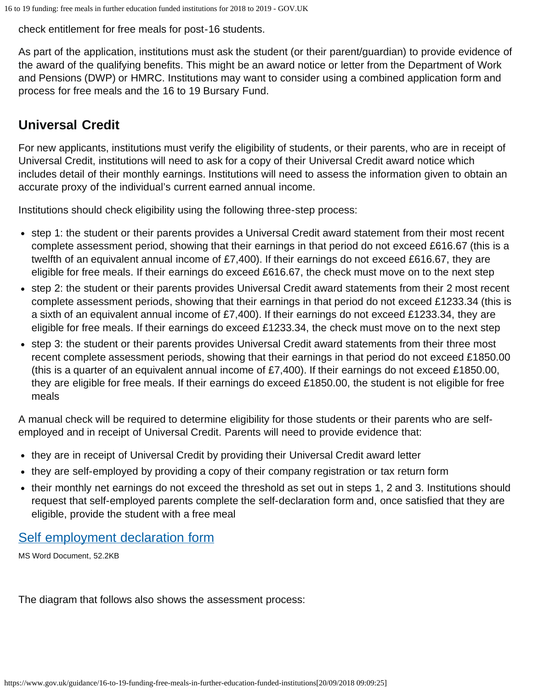check entitlement for free meals for post-16 students.

As part of the application, institutions must ask the student (or their parent/guardian) to provide evidence of the award of the qualifying benefits. This might be an award notice or letter from the Department of Work and Pensions (DWP) or HMRC. Institutions may want to consider using a combined application form and process for free meals and the 16 to 19 Bursary Fund.

# <span id="page-4-0"></span>**Universal Credit**

For new applicants, institutions must verify the eligibility of students, or their parents, who are in receipt of Universal Credit, institutions will need to ask for a copy of their Universal Credit award notice which includes detail of their monthly earnings. Institutions will need to assess the information given to obtain an accurate proxy of the individual's current earned annual income.

Institutions should check eligibility using the following three-step process:

- step 1: the student or their parents provides a Universal Credit award statement from their most recent complete assessment period, showing that their earnings in that period do not exceed £616.67 (this is a twelfth of an equivalent annual income of £7,400). If their earnings do not exceed £616.67, they are eligible for free meals. If their earnings do exceed £616.67, the check must move on to the next step
- step 2: the student or their parents provides Universal Credit award statements from their 2 most recent complete assessment periods, showing that their earnings in that period do not exceed £1233.34 (this is a sixth of an equivalent annual income of £7,400). If their earnings do not exceed £1233.34, they are eligible for free meals. If their earnings do exceed £1233.34, the check must move on to the next step
- step 3: the student or their parents provides Universal Credit award statements from their three most recent complete assessment periods, showing that their earnings in that period do not exceed £1850.00 (this is a quarter of an equivalent annual income of £7,400). If their earnings do not exceed £1850.00, they are eligible for free meals. If their earnings do exceed £1850.00, the student is not eligible for free meals

A manual check will be required to determine eligibility for those students or their parents who are selfemployed and in receipt of Universal Credit. Parents will need to provide evidence that:

- they are in receipt of Universal Credit by providing their Universal Credit award letter
- they are self-employed by providing a copy of their company registration or tax return form
- their monthly net earnings do not exceed the threshold as set out in steps 1, 2 and 3. Institutions should request that self-employed parents complete the self-declaration form and, once satisfied that they are eligible, provide the student with a free meal

## [Self employment declaration form](https://assets.publishing.service.gov.uk/government/uploads/system/uploads/attachment_data/file/704382/Self-employment_declaration_form_2018.docx)

MS Word Document, 52.2KB

The diagram that follows also shows the assessment process: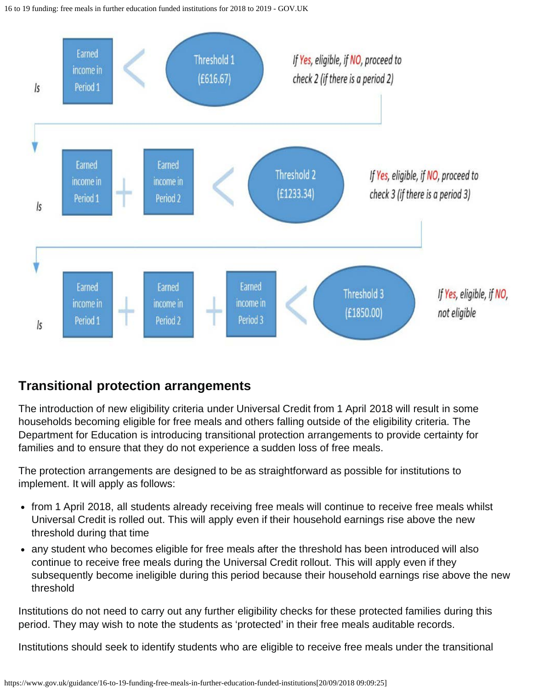

# <span id="page-5-0"></span>**Transitional protection arrangements**

The introduction of new eligibility criteria under Universal Credit from 1 April 2018 will result in some households becoming eligible for free meals and others falling outside of the eligibility criteria. The Department for Education is introducing transitional protection arrangements to provide certainty for families and to ensure that they do not experience a sudden loss of free meals.

The protection arrangements are designed to be as straightforward as possible for institutions to implement. It will apply as follows:

- from 1 April 2018, all students already receiving free meals will continue to receive free meals whilst Universal Credit is rolled out. This will apply even if their household earnings rise above the new threshold during that time
- any student who becomes eligible for free meals after the threshold has been introduced will also continue to receive free meals during the Universal Credit rollout. This will apply even if they subsequently become ineligible during this period because their household earnings rise above the new threshold

Institutions do not need to carry out any further eligibility checks for these protected families during this period. They may wish to note the students as 'protected' in their free meals auditable records.

Institutions should seek to identify students who are eligible to receive free meals under the transitional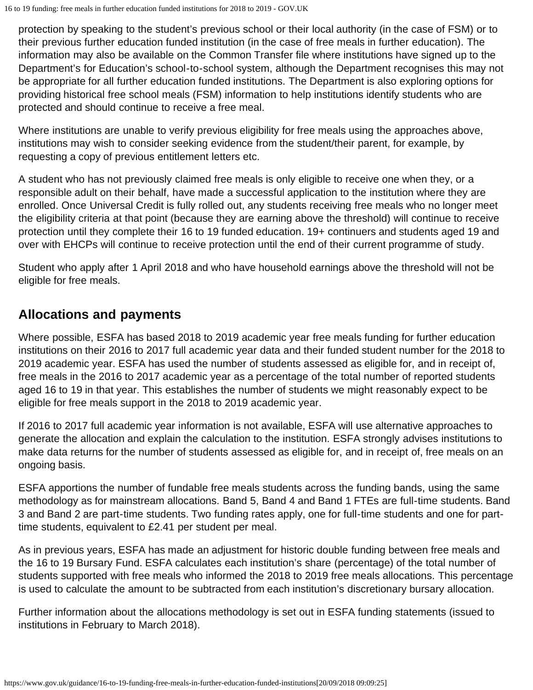protection by speaking to the student's previous school or their local authority (in the case of FSM) or to their previous further education funded institution (in the case of free meals in further education). The information may also be available on the Common Transfer file where institutions have signed up to the Department's for Education's school-to-school system, although the Department recognises this may not be appropriate for all further education funded institutions. The Department is also exploring options for providing historical free school meals (FSM) information to help institutions identify students who are protected and should continue to receive a free meal.

Where institutions are unable to verify previous eligibility for free meals using the approaches above, institutions may wish to consider seeking evidence from the student/their parent, for example, by requesting a copy of previous entitlement letters etc.

A student who has not previously claimed free meals is only eligible to receive one when they, or a responsible adult on their behalf, have made a successful application to the institution where they are enrolled. Once Universal Credit is fully rolled out, any students receiving free meals who no longer meet the eligibility criteria at that point (because they are earning above the threshold) will continue to receive protection until they complete their 16 to 19 funded education. 19+ continuers and students aged 19 and over with EHCPs will continue to receive protection until the end of their current programme of study.

Student who apply after 1 April 2018 and who have household earnings above the threshold will not be eligible for free meals.

# <span id="page-6-0"></span>**Allocations and payments**

Where possible, ESFA has based 2018 to 2019 academic year free meals funding for further education institutions on their 2016 to 2017 full academic year data and their funded student number for the 2018 to 2019 academic year. ESFA has used the number of students assessed as eligible for, and in receipt of, free meals in the 2016 to 2017 academic year as a percentage of the total number of reported students aged 16 to 19 in that year. This establishes the number of students we might reasonably expect to be eligible for free meals support in the 2018 to 2019 academic year.

If 2016 to 2017 full academic year information is not available, ESFA will use alternative approaches to generate the allocation and explain the calculation to the institution. ESFA strongly advises institutions to make data returns for the number of students assessed as eligible for, and in receipt of, free meals on an ongoing basis.

ESFA apportions the number of fundable free meals students across the funding bands, using the same methodology as for mainstream allocations. Band 5, Band 4 and Band 1 FTEs are full-time students. Band 3 and Band 2 are part-time students. Two funding rates apply, one for full-time students and one for parttime students, equivalent to £2.41 per student per meal.

As in previous years, ESFA has made an adjustment for historic double funding between free meals and the 16 to 19 Bursary Fund. ESFA calculates each institution's share (percentage) of the total number of students supported with free meals who informed the 2018 to 2019 free meals allocations. This percentage is used to calculate the amount to be subtracted from each institution's discretionary bursary allocation.

Further information about the allocations methodology is set out in ESFA funding statements (issued to institutions in February to March 2018).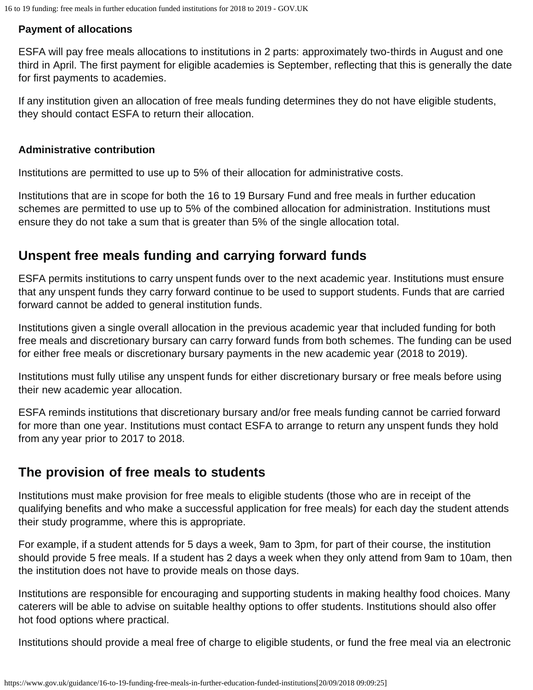### **Payment of allocations**

ESFA will pay free meals allocations to institutions in 2 parts: approximately two-thirds in August and one third in April. The first payment for eligible academies is September, reflecting that this is generally the date for first payments to academies.

If any institution given an allocation of free meals funding determines they do not have eligible students, they should contact ESFA to return their allocation.

#### **Administrative contribution**

Institutions are permitted to use up to 5% of their allocation for administrative costs.

Institutions that are in scope for both the 16 to 19 Bursary Fund and free meals in further education schemes are permitted to use up to 5% of the combined allocation for administration. Institutions must ensure they do not take a sum that is greater than 5% of the single allocation total.

## <span id="page-7-0"></span>**Unspent free meals funding and carrying forward funds**

ESFA permits institutions to carry unspent funds over to the next academic year. Institutions must ensure that any unspent funds they carry forward continue to be used to support students. Funds that are carried forward cannot be added to general institution funds.

Institutions given a single overall allocation in the previous academic year that included funding for both free meals and discretionary bursary can carry forward funds from both schemes. The funding can be used for either free meals or discretionary bursary payments in the new academic year (2018 to 2019).

Institutions must fully utilise any unspent funds for either discretionary bursary or free meals before using their new academic year allocation.

ESFA reminds institutions that discretionary bursary and/or free meals funding cannot be carried forward for more than one year. Institutions must contact ESFA to arrange to return any unspent funds they hold from any year prior to 2017 to 2018.

## <span id="page-7-1"></span>**The provision of free meals to students**

Institutions must make provision for free meals to eligible students (those who are in receipt of the qualifying benefits and who make a successful application for free meals) for each day the student attends their study programme, where this is appropriate.

For example, if a student attends for 5 days a week, 9am to 3pm, for part of their course, the institution should provide 5 free meals. If a student has 2 days a week when they only attend from 9am to 10am, then the institution does not have to provide meals on those days.

Institutions are responsible for encouraging and supporting students in making healthy food choices. Many caterers will be able to advise on suitable healthy options to offer students. Institutions should also offer hot food options where practical.

Institutions should provide a meal free of charge to eligible students, or fund the free meal via an electronic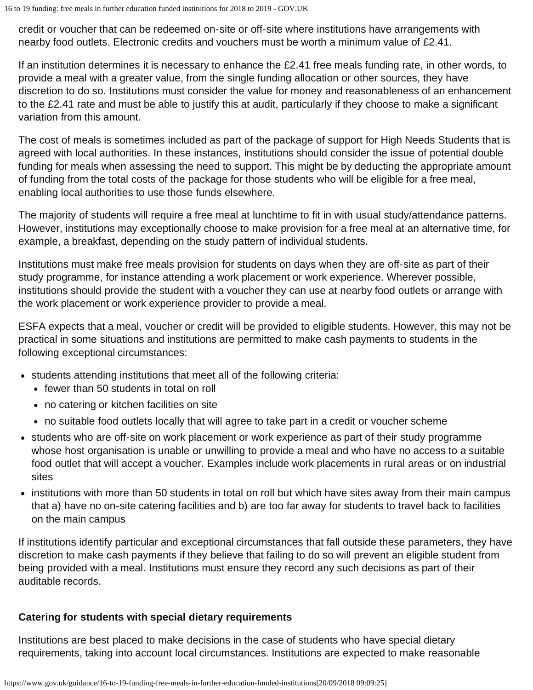credit or voucher that can be redeemed on-site or off-site where institutions have arrangements with nearby food outlets. Electronic credits and vouchers must be worth a minimum value of £2.41.

If an institution determines it is necessary to enhance the £2.41 free meals funding rate, in other words, to provide a meal with a greater value, from the single funding allocation or other sources, they have discretion to do so. Institutions must consider the value for money and reasonableness of an enhancement to the £2.41 rate and must be able to justify this at audit, particularly if they choose to make a significant variation from this amount.

The cost of meals is sometimes included as part of the package of support for High Needs Students that is agreed with local authorities. In these instances, institutions should consider the issue of potential double funding for meals when assessing the need to support. This might be by deducting the appropriate amount of funding from the total costs of the package for those students who will be eligible for a free meal, enabling local authorities to use those funds elsewhere.

The majority of students will require a free meal at lunchtime to fit in with usual study/attendance patterns. However, institutions may exceptionally choose to make provision for a free meal at an alternative time, for example, a breakfast, depending on the study pattern of individual students.

Institutions must make free meals provision for students on days when they are off-site as part of their study programme, for instance attending a work placement or work experience. Wherever possible, institutions should provide the student with a voucher they can use at nearby food outlets or arrange with the work placement or work experience provider to provide a meal.

ESFA expects that a meal, voucher or credit will be provided to eligible students. However, this may not be practical in some situations and institutions are permitted to make cash payments to students in the following exceptional circumstances:

- students attending institutions that meet all of the following criteria:
	- fewer than 50 students in total on roll
	- no catering or kitchen facilities on site
	- no suitable food outlets locally that will agree to take part in a credit or voucher scheme
- students who are off-site on work placement or work experience as part of their study programme whose host organisation is unable or unwilling to provide a meal and who have no access to a suitable food outlet that will accept a voucher. Examples include work placements in rural areas or on industrial sites
- institutions with more than 50 students in total on roll but which have sites away from their main campus that a) have no on-site catering facilities and b) are too far away for students to travel back to facilities on the main campus

If institutions identify particular and exceptional circumstances that fall outside these parameters, they have discretion to make cash payments if they believe that failing to do so will prevent an eligible student from being provided with a meal. Institutions must ensure they record any such decisions as part of their auditable records.

#### **Catering for students with special dietary requirements**

Institutions are best placed to make decisions in the case of students who have special dietary requirements, taking into account local circumstances. Institutions are expected to make reasonable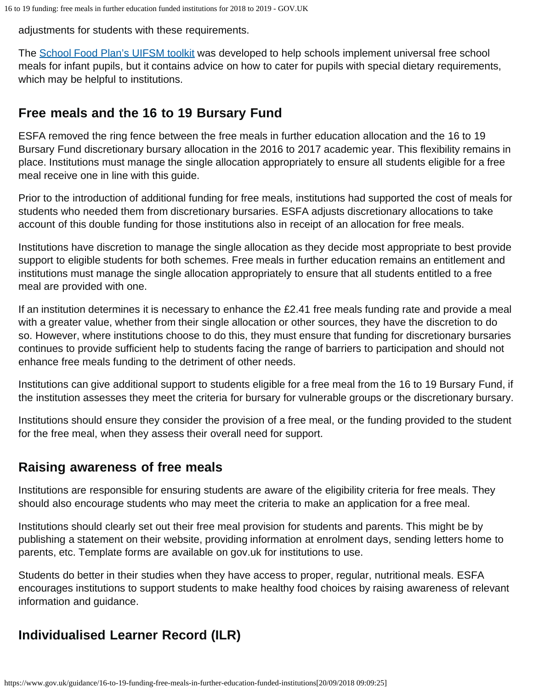adjustments for students with these requirements.

The [School Food Plan's UIFSM toolkit](http://www.schoolfoodplan.com/toolkit/) was developed to help schools implement universal free school meals for infant pupils, but it contains advice on how to cater for pupils with special dietary requirements, which may be helpful to institutions.

## <span id="page-9-0"></span>**Free meals and the 16 to 19 Bursary Fund**

ESFA removed the ring fence between the free meals in further education allocation and the 16 to 19 Bursary Fund discretionary bursary allocation in the 2016 to 2017 academic year. This flexibility remains in place. Institutions must manage the single allocation appropriately to ensure all students eligible for a free meal receive one in line with this guide.

Prior to the introduction of additional funding for free meals, institutions had supported the cost of meals for students who needed them from discretionary bursaries. ESFA adjusts discretionary allocations to take account of this double funding for those institutions also in receipt of an allocation for free meals.

Institutions have discretion to manage the single allocation as they decide most appropriate to best provide support to eligible students for both schemes. Free meals in further education remains an entitlement and institutions must manage the single allocation appropriately to ensure that all students entitled to a free meal are provided with one.

If an institution determines it is necessary to enhance the £2.41 free meals funding rate and provide a meal with a greater value, whether from their single allocation or other sources, they have the discretion to do so. However, where institutions choose to do this, they must ensure that funding for discretionary bursaries continues to provide sufficient help to students facing the range of barriers to participation and should not enhance free meals funding to the detriment of other needs.

Institutions can give additional support to students eligible for a free meal from the 16 to 19 Bursary Fund, if the institution assesses they meet the criteria for bursary for vulnerable groups or the discretionary bursary.

Institutions should ensure they consider the provision of a free meal, or the funding provided to the student for the free meal, when they assess their overall need for support.

# <span id="page-9-1"></span>**Raising awareness of free meals**

Institutions are responsible for ensuring students are aware of the eligibility criteria for free meals. They should also encourage students who may meet the criteria to make an application for a free meal.

Institutions should clearly set out their free meal provision for students and parents. This might be by publishing a statement on their website, providing information at enrolment days, sending letters home to parents, etc. Template forms are available on gov.uk for institutions to use.

Students do better in their studies when they have access to proper, regular, nutritional meals. ESFA encourages institutions to support students to make healthy food choices by raising awareness of relevant information and guidance.

# <span id="page-9-2"></span>**Individualised Learner Record (ILR)**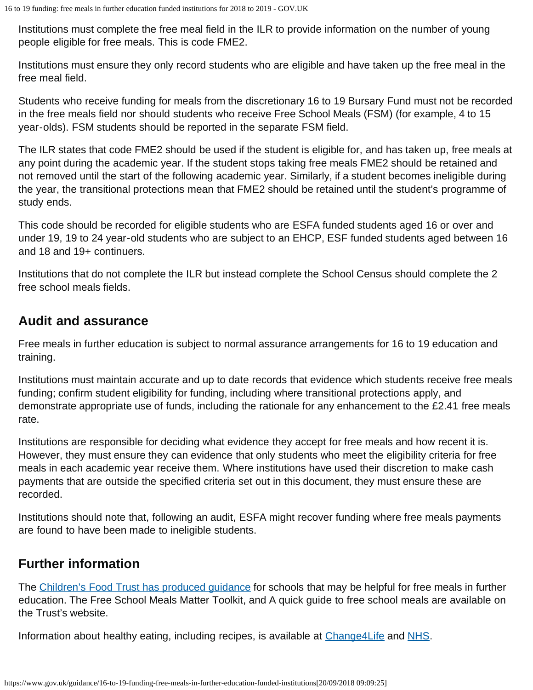Institutions must complete the free meal field in the ILR to provide information on the number of young people eligible for free meals. This is code FME2.

Institutions must ensure they only record students who are eligible and have taken up the free meal in the free meal field.

Students who receive funding for meals from the discretionary 16 to 19 Bursary Fund must not be recorded in the free meals field nor should students who receive Free School Meals (FSM) (for example, 4 to 15 year-olds). FSM students should be reported in the separate FSM field.

The ILR states that code FME2 should be used if the student is eligible for, and has taken up, free meals at any point during the academic year. If the student stops taking free meals FME2 should be retained and not removed until the start of the following academic year. Similarly, if a student becomes ineligible during the year, the transitional protections mean that FME2 should be retained until the student's programme of study ends.

This code should be recorded for eligible students who are ESFA funded students aged 16 or over and under 19, 19 to 24 year-old students who are subject to an EHCP, ESF funded students aged between 16 and 18 and 19+ continuers.

Institutions that do not complete the ILR but instead complete the School Census should complete the 2 free school meals fields.

## <span id="page-10-0"></span>**Audit and assurance**

Free meals in further education is subject to normal assurance arrangements for 16 to 19 education and training.

Institutions must maintain accurate and up to date records that evidence which students receive free meals funding; confirm student eligibility for funding, including where transitional protections apply, and demonstrate appropriate use of funds, including the rationale for any enhancement to the £2.41 free meals rate.

Institutions are responsible for deciding what evidence they accept for free meals and how recent it is. However, they must ensure they can evidence that only students who meet the eligibility criteria for free meals in each academic year receive them. Where institutions have used their discretion to make cash payments that are outside the specified criteria set out in this document, they must ensure these are recorded.

Institutions should note that, following an audit, ESFA might recover funding where free meals payments are found to have been made to ineligible students.

# <span id="page-10-1"></span>**Further information**

The [Children's Food Trust has produced guidance](http://www.childrensfoodtrust.org.uk/resources) for schools that may be helpful for free meals in further education. The Free School Meals Matter Toolkit, and A quick guide to free school meals are available on the Trust's website.

Information about healthy eating, including recipes, is available at Change 4Life and [NHS.](http://www.nhs.uk/livewell/goodfood/pages/eatwell-plate.aspx)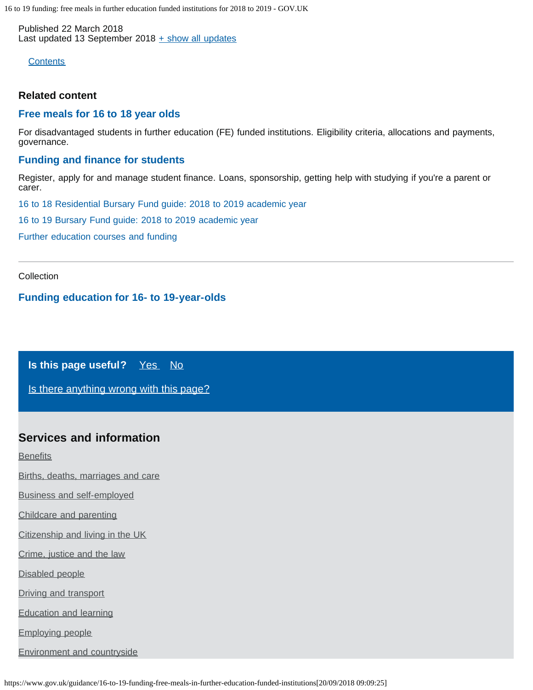<span id="page-11-1"></span><span id="page-11-0"></span>Published 22 March 2018 Last updated 13 September 2018  $\pm$  [show all updates](#page-0-0)

**[Contents](#page-11-1)** 

#### **Related content**

#### **[Free meals for 16 to 18 year olds](https://www.gov.uk/education/free-meals-for-16-to-18-year-olds)**

For disadvantaged students in further education (FE) funded institutions. Eligibility criteria, allocations and payments, governance.

#### **[Funding and finance for students](https://www.gov.uk/education/funding-and-finance-for-students)**

Register, apply for and manage student finance. Loans, sponsorship, getting help with studying if you're a parent or carer.

[16 to 18 Residential Bursary Fund guide: 2018 to 2019 academic year](https://www.gov.uk/guidance/16-to-18-residential-bursary-fund-guide-2018-to-2019-academic-year)

[16 to 19 Bursary Fund guide: 2018 to 2019 academic year](https://www.gov.uk/guidance/16-to-19-bursary-fund-guide-2018-to-2019-academic-year)

[Further education courses and funding](https://www.gov.uk/further-education-courses)

Collection

#### **[Funding education for 16- to 19-year-olds](https://www.gov.uk/government/collections/funding-education-for-16-to-19-year-olds)**

**Is this page useful?** [Yes No](https://www.gov.uk/contact/govuk)

[Is there anything wrong with this page?](https://www.gov.uk/contact/govuk)

#### **Services and information**

**[Benefits](https://www.gov.uk/browse/benefits)** 

[Births, deaths, marriages and care](https://www.gov.uk/browse/births-deaths-marriages)

[Business and self-employed](https://www.gov.uk/browse/business)

[Childcare and parenting](https://www.gov.uk/browse/childcare-parenting)

[Citizenship and living in the UK](https://www.gov.uk/browse/citizenship)

[Crime, justice and the law](https://www.gov.uk/browse/justice)

[Disabled people](https://www.gov.uk/browse/disabilities)

[Driving and transport](https://www.gov.uk/browse/driving)

[Education and learning](https://www.gov.uk/browse/education)

[Employing people](https://www.gov.uk/browse/employing-people)

[Environment and countryside](https://www.gov.uk/browse/environment-countryside)

https://www.gov.uk/guidance/16-to-19-funding-free-meals-in-further-education-funded-institutions[20/09/2018 09:09:25]